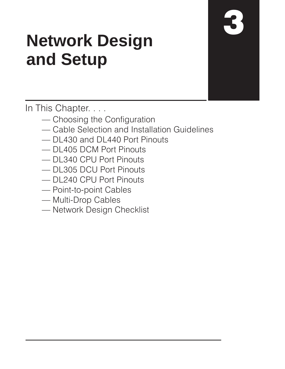# **Network Design** and Setup

In This Chapter. . . .

- Choosing the Configuration
- Cable Selection and Installation Guidelines
- DL430 and DL440 Port Pinouts
- DL405 DCM Port Pinouts
- DL340 CPU Port Pinouts
- DL305 DCU Port Pinouts
- DL240 CPU Port Pinouts
- Point-to-point Cables
- Multi-Drop Cables
- Network Design Checklist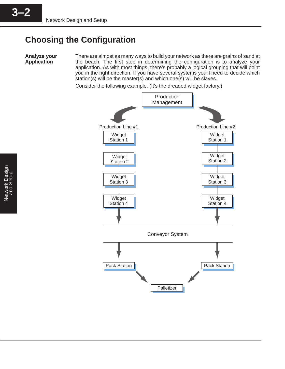# **Choosing the Configuration**

**Analyze your Application**

3–2 **3–2**

There are almost as many ways to build your network as there are grains of sand at the beach. The first step in determining the configuration is to analyze your application. As with most things, there's probably a logical grouping that will point you in the right direction. If you have several systems you'll need to decide which station(s) will be the master(s) and which one(s) will be slaves.

Consider the following example. (It's the dreaded widget factory.)



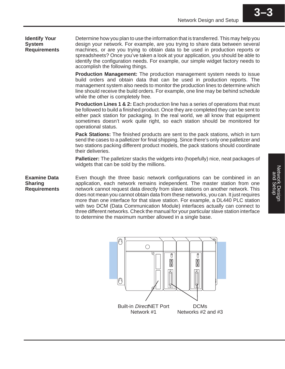**Identify Your System Requirements**

Determine how you plan to use the information that is transferred. This may help you design your network. For example, are you trying to share data between several machines, or are you trying to obtain data to be used in production reports or spreadsheets? Once you've taken a look at your application, you should be able to identify the configuration needs. For example, our simple widget factory needs to accomplish the following things.

**Production Management:** The production management system needs to issue build orders and obtain data that can be used in production reports. The management system also needs to monitor the production lines to determine which line should receive the build orders. For example, one line may be behind schedule while the other is completely free.

**Production Lines 1 & 2:** Each production line has a series of operations that must be followed to build a finished product. Once they are completed they can be sent to either pack station for packaging. In the real world, we all know that equipment sometimes doesn't work quite right, so each station should be monitored for operational status.

**Pack Stations:** The finished products are sent to the pack stations, which in turn send the cases to a palletizer for final shipping. Since there's only one palletizer and two stations packing different product models, the pack stations should coordinate their deliveries.

**Palletizer:** The palletizer stacks the widgets into (hopefully) nice, neat packages of widgets that can be sold by the millions.

Even though the three basic network configurations can be combined in an application, each network remains independent. The master station from one network cannot request data directly from slave stations on another network. This does not mean you cannot obtain data from these networks, you can. It just requires more than one interface for that slave station. For example, a DL440 PLC station with two DCM (Data Communication Module) interfaces actually can connect to three different networks. Check the manual for your particular slave station interface to determine the maximum number allowed in a single base. **Examine Data Sharing Requirements**

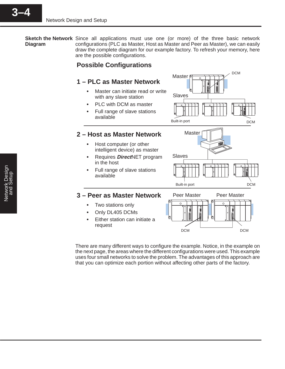**Sketch the Network** Since all applications must use one (or more) of the three basic network configurations (PLC as Master, Host as Master and Peer as Master), we can easily draw the complete diagram for our example factory. To refresh your memory, here are the possible configurations. **Diagram**

**Master** 

# **Possible Configurations**

# **1 – PLC as Master Network**

- $\bullet$  Master can initiate read or write with any slave station
- PLC with DCM as master
- Full range of slave stations available

# **2 – Host as Master Network**

- Host computer (or other intelligent device) as master
- Requires **Direct**NET program in the host
- Full range of slave stations available



DCM

# **3 – Peer as Master Network**

- Two stations only
- Only DL405 DCMs
- Either station can initiate a request



There are many different ways to configure the example. Notice, in the example on the next page, the areas where the different configurations were used. This example uses four small networks to solve the problem. The advantages of this approach are that you can optimize each portion without affecting other parts of the factory.

3–4 **3–4**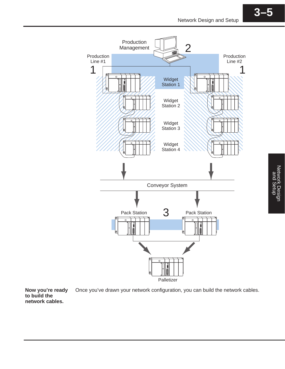





**Now you're ready** Once you've drawn your network configuration, you can build the network cables. **to build the network cables.**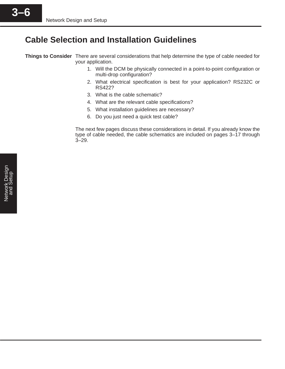# **Cable Selection and Installation Guidelines**

**Things to Consider** There are several considerations that help determine the type of cable needed for your application.

- 1. Will the DCM be physically connected in a point-to-point configuration or multi-drop configuration?
- 2. What electrical specification is best for your application? RS232C or RS422?
- 3. What is the cable schematic?
- 4. What are the relevant cable specifications?
- 5. What installation guidelines are necessary?
- 6. Do you just need a quick test cable?

The next few pages discuss these considerations in detail. If you already know the type of cable needed, the cable schematics are included on pages 3–17 through 3–29.

3–6 **3–6**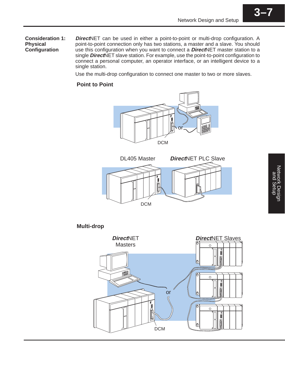**Direct**NET can be used in either a point-to-point or multi-drop configuration. A point-to-point connection only has two stations, a master and a slave. You should use this configuration when you want to connect a **Direct**NET master station to a single **Direct**NET slave station. For example, use the point-to-point configuration to connect a personal computer, an operator interface, or an intelligent device to a single station. **Consideration 1: Physical Configuration**

Use the multi-drop configuration to connect one master to two or more slaves.

## **Point to Point**





# **Multi-drop**



**3–7**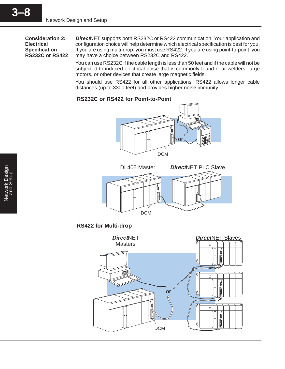**Consideration 2: Electrical Specification RS232C or RS422**

**Direct**NET supports both RS232C or RS422 communication. Your application and configuration choice will help determine which electrical specification is best for you. If you are using multi-drop, you must use RS422. If you are using point-to-point, you may have a choice between RS232C and RS422.

You can use RS232C if the cable length is less than 50 feet and if the cable will not be subjected to induced electrical noise that is commonly found near welders, large motors, or other devices that create large magnetic fields.

You should use RS422 for all other applications. RS422 allows longer cable distances (up to 3300 feet) and provides higher noise immunity.

#### **RS232C or RS422 for Point-to-Point**





**RS422 for Multi-drop**

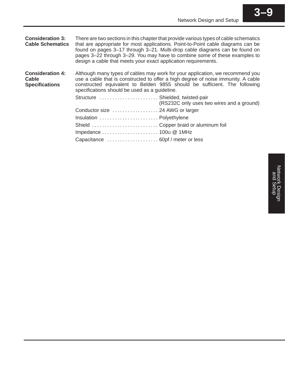| <b>Consideration 3:</b><br><b>Cable Schematics</b>        | design a cable that meets your exact application requirements.                                    | There are two sections in this chapter that provide various types of cable schematics<br>that are appropriate for most applications. Point-to-Point cable diagrams can be<br>found on pages 3-17 through 3-21. Multi-drop cable diagrams can be found on<br>pages 3–22 through 3–29. You may have to combine some of these examples to |
|-----------------------------------------------------------|---------------------------------------------------------------------------------------------------|----------------------------------------------------------------------------------------------------------------------------------------------------------------------------------------------------------------------------------------------------------------------------------------------------------------------------------------|
| <b>Consideration 4:</b><br>Cable<br><b>Specifications</b> | specifications should be used as a guideline.                                                     | Although many types of cables may work for your application, we recommend you<br>use a cable that is constructed to offer a high degree of noise immunity. A cable<br>constructed equivalent to Belden 9855 should be sufficient. The following                                                                                        |
|                                                           | Structure  Shielded, twisted-pair                                                                 | (RS232C only uses two wires and a ground)                                                                                                                                                                                                                                                                                              |
|                                                           | Conductor size  24 AWG or larger                                                                  |                                                                                                                                                                                                                                                                                                                                        |
|                                                           | Insulation  Polyethylene                                                                          |                                                                                                                                                                                                                                                                                                                                        |
|                                                           | Shield  Copper braid or aluminum foil                                                             |                                                                                                                                                                                                                                                                                                                                        |
|                                                           | Impedance $\ldots \ldots \ldots \ldots \ldots \ldots \ldots$ 100 $\Omega \otimes \mathbb{Q}$ 1MHz |                                                                                                                                                                                                                                                                                                                                        |
|                                                           |                                                                                                   |                                                                                                                                                                                                                                                                                                                                        |

**3–9**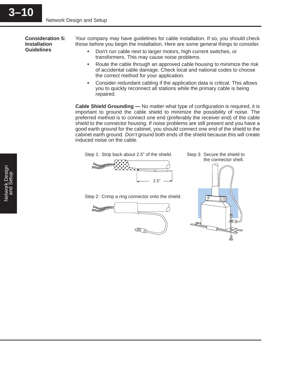**Consideration 5: Installation Guidelines**

Your company may have guidelines for cable installation. If so, you should check those before you begin the installation. Here are some general things to consider.

- $\bullet$  Don't run cable next to larger motors, high current switches, or transformers. This may cause noise problems.
- $\bullet$  Route the cable through an approved cable housing to minimize the risk of accidental cable damage. Check local and national codes to choose the correct method for your application.
- $\bullet$  Consider redundant cabling if the application data is critical. This allows you to quickly reconnect all stations while the primary cable is being repaired.

**Cable Shield Grounding —** No matter what type of configuration is required, it is important to ground the cable shield to minimize the possibility of noise. The preferred method is to connect one end (preferably the receiver end) of the cable shield to the connector housing. If noise problems are still present and you have a good earth ground for the cabinet, you should connect one end of the shield to the cabinet earth ground. Don't ground both ends of the shield because this will create induced noise on the cable.





Step 3: Secure the shield to the connector shell.



Step 2: Crimp a ring connector onto the shield.



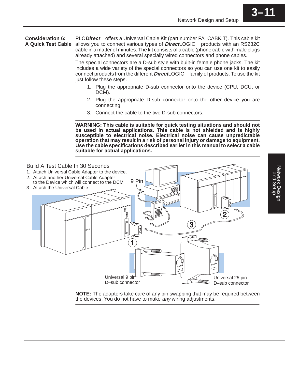PLC Direct<sup>™</sup> offers a Universal Cable Kit (part number FA–CABKIT). This cable kit allows you to connect various types of **Direct**LOGIC<sup>™</sup> products with an RS232C cable in a matter of minutes. The kit consists of a cable (phone cable with male plugs already attached) and several specially wired connectors and phone cables. **Consideration 6: A Quick Test Cable**

> The special connectors are a D-sub style with built-in female phone jacks. The kit includes a wide variety of the special connectors so you can use one kit to easily connect products from the different **Direct**LOGIC<sup>™</sup> family of products. To use the kit just follow these steps.

- 1. Plug the appropriate D-sub connector onto the device (CPU, DCU, or DCM).
- 2. Plug the appropriate D-sub connector onto the other device you are connecting.
- 3. Connect the cable to the two D-sub connectors.

**WARNING: This cable is suitable for quick testing situations and should not be used in actual applications. This cable is not shielded and is highly susceptible to electrical noise. Electrical noise can cause unpredictable operation that may result in a risk of personal injury or damage to equipment. Use the cable specifications described earlier in this manual to select a cable suitable for actual applications.**



**NOTE:** The adapters take care of any pin swapping that may be required between the devices. You do not have to make any wiring adjustments.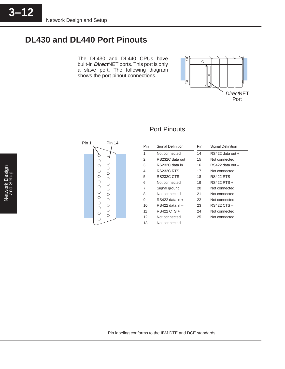# **DL430 and DL440 Port Pinouts**

The DL430 and DL440 CPUs have built-in **Direct**NET ports. This port is only a slave port. The following diagram shows the port pinout connections.





# Port Pinouts

| Pin | Signal Definition | Pin | Signal Definition    |
|-----|-------------------|-----|----------------------|
| 1   | Not connected     | 14  | $RS422$ data out $+$ |
| 2   | RS232C data out   | 15  | Not connected        |
| 3   | RS232C data in    | 16  | RS422 data out -     |
| 4   | RS232C RTS        | 17  | Not connected        |
| 5   | RS232C CTS        | 18  | RS422 RTS -          |
| 6   | Not connected     | 19  | RS422 RTS +          |
| 7   | Signal ground     | 20  | Not connected        |
| 8   | Not connected     | 21  | Not connected        |
| 9   | RS422 data in +   | 22  | Not connected        |
| 10  | RS422 data in –   | 23  | RS422 CTS -          |
| 11  | RS422 CTS +       | 24  | Not connected        |
| 12  | Not connected     | 25  | Not connected        |
| 13  | Not connected     |     |                      |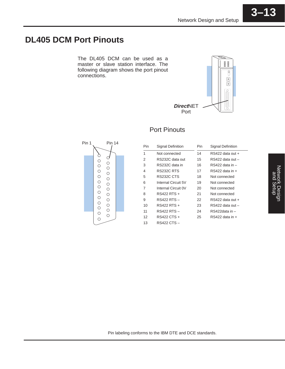# **DL405 DCM Port Pinouts**

The DL405 DCM can be used as a master or slave station interface. The following diagram shows the port pinout connections.



# Port Pinouts



| Pin | <b>Signal Definition</b> | Pin | <b>Signal Definition</b> |
|-----|--------------------------|-----|--------------------------|
| 1   | Not connected            | 14  | RS422 data out +         |
| 2   | RS232C data out          | 15  | RS422 data out -         |
| 3   | RS232C data in           | 16  | RS422 data in -          |
| 4   | RS232C RTS               | 17  | $RS422$ data in $+$      |
| 5   | RS232C CTS               | 18  | Not connected            |
| 6   | Internal Circuit 5V      | 19  | Not connected            |
| 7   | Internal Circuit 0V      | 20  | Not connected            |
| 8   | RS422 RTS +              | 21  | Not connected            |
| 9   | RS422 RTS –              | 22  | RS422 data out +         |
| 10  | RS422 RTS +              | 23  | RS422 data out -         |
| 11  | RS422 RTS –              | 24  | RS422data in -           |
| 12  | RS422 CTS +              | 25  | RS422 data in +          |
| 13  | RS422 CTS –              |     |                          |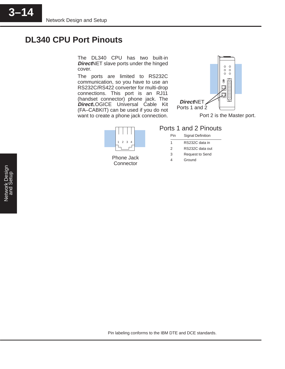# **DL340 CPU Port Pinouts**

The DL340 CPU has two built-in **Direct**NET slave ports under the hinged cover.

The ports are limited to RS232C communication, so you have to use an RS232C/RS422 converter for multi-drop connections. This port is an RJ11 (handset connector) phone jack. The **Direct**LOGICE Universal Cable Kit (FA–CABKIT) can be used if you do not want to create a phone jack connection.





Phone Jack **Connector** 

# Ports 1 and 2 Pinouts

| Pin | <b>Signal Definition</b> |
|-----|--------------------------|
| 1   | RS232C data in           |
| 2   | RS232C data out          |
| 3   | <b>Request to Send</b>   |
|     | Ground                   |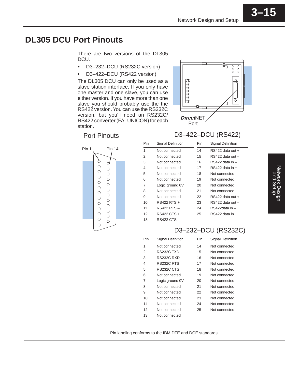**3–15**

# **DL305 DCU Port Pinouts**

There are two versions of the DL305 DCU.

- $\bullet$ D3–232–DCU (RS232C version)
- $\bullet$ D3–422–DCU (RS422 version)

The DL305 DCU can only be used as a slave station interface. If you only have one master and one slave, you can use either version. If you have more than one slave you should probably use the the RS422 version. You can use the RS232C version, but you'll need an RS232C/ RS422 converter (FA–UNICON) for each station.





# **Direct**NET Port

 $\overline{\mathbb{O}_{\square}}$ 

 $\overline{\circ}$  $000$ 

# D3–422–DCU (RS422)

| Pin | Signal Definition | Pin | Signal Definition   |
|-----|-------------------|-----|---------------------|
| 1   | Not connected     | 14  | RS422 data out +    |
| 2   | Not connected     | 15  | RS422 data out -    |
| 3   | Not connected     | 16  | RS422 data in -     |
| 4   | Not connected     | 17  | $RS422$ data in $+$ |
| 5   | Not connected     | 18  | Not connected       |
| 6   | Not connected     | 19  | Not connected       |
| 7   | Logic ground OV   | 20  | Not connected       |
| 8   | Not connected     | 21  | Not connected       |
| 9   | Not connected     | 22  | RS422 data out +    |
| 10  | RS422 RTS +       | 23  | RS422 data out -    |
| 11  | RS422 RTS -       | 24  | RS422data in -      |
| 12  | RS422 CTS +       | 25  | $RS422$ data in $+$ |
| 13  | RS422 CTS –       |     |                     |

# D3–232–DCU (RS232C)

| Pin | Signal Definition | Pin | Signal Definition |
|-----|-------------------|-----|-------------------|
| 1   | Not connected     | 14  | Not connected     |
| 2   | RS232C TXD        | 15  | Not connected     |
| 3   | RS232C RXD        | 16  | Not connected     |
| 4   | RS232C RTS        | 17  | Not connected     |
| 5   | RS232C CTS        | 18  | Not connected     |
| 6   | Not connected     | 19  | Not connected     |
| 7   | Logic ground 0V   | 20  | Not connected     |
| 8   | Not connected     | 21  | Not connected     |
| 9   | Not connected     | 22  | Not connected     |
| 10  | Not connected     | 23  | Not connected     |
| 11  | Not connected     | 24  | Not connected     |
| 12  | Not connected     | 25  | Not connected     |
| 13  | Not connected     |     |                   |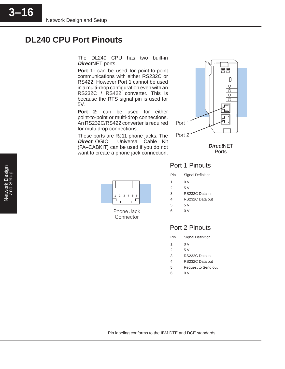3–16**3–16**

# **DL240 CPU Port Pinouts**

The DL240 CPU has two built-in **Direct**NET ports.

**Port 1:** can be used for point-to-point communications with either RS232C or RS422. However Port 1 cannot be used in a multi-drop configuration even with an RS232C / RS422 converter. This is because the RTS signal pin is used for 5V.

**Port 2:** can be used for either point-to-point or multi-drop connections. An RS232C/RS422 converter is required for multi-drop connections.

These ports are RJ11 phone jacks. The **DirectLOGIC™** Universal Cable Kit (FA–CABKIT) can be used if you do not want to create a phone jack connection.



**Direct**NET **Ports** 



Phone Jack Connector

# Port 1 Pinouts

| Pin | Signal Definition |
|-----|-------------------|
| 1   | 0 V               |
| 2   | 5 V               |
| 3   | RS232C Data in    |
| 4   | RS232C Data out   |
| 5   | 5 V               |
| 6   | 0 V               |
|     |                   |

# Port 2 Pinouts

| Pin           | Signal Definition   |
|---------------|---------------------|
| 1             | 0 V                 |
| $\mathcal{P}$ | 5 V                 |
| 3             | RS232C Data in      |
| 4             | RS232C Data out     |
| 5             | Request to Send out |
| հ             | 0 V                 |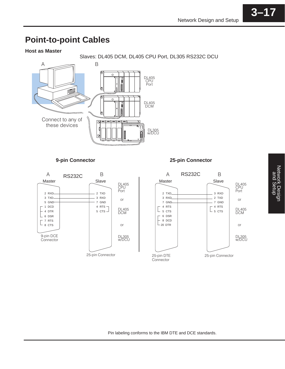**3–17**

### **Host as Master**

Slaves: DL405 DCM, DL405 CPU Port, DL305 RS232C DCU





## **9-pin Connector 25-pin Connector**

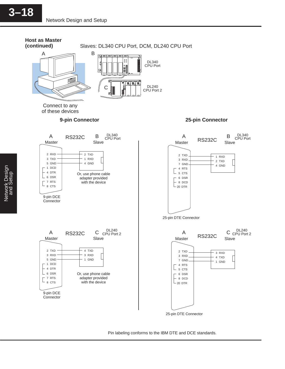#### **Host as Master (continued)**

Slaves: DL340 CPU Port, DCM, DL240 CPU Port





Connect to any of these devices



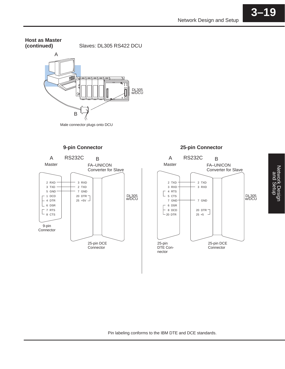Slaves: DL305 RS422 DCU **Host as Master (continued)**





**9-pin Connector 25-pin Connector**



Pin labeling conforms to the IBM DTE and DCE standards.

**3–19**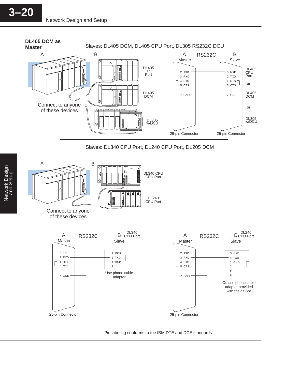



of these devices

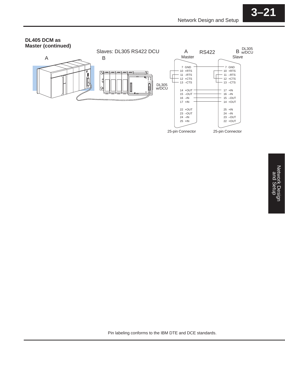### **DL405 DCM as Master (continued)**

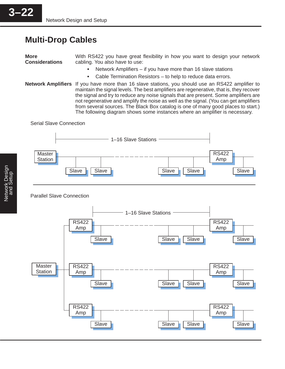# **Multi-Drop Cables**

**More Considerations** With RS422 you have great flexibility in how you want to design your network cabling. You also have to use:

- Network Amplifiers if you have more than 16 slave stations
- $\bullet$ Cable Termination Resistors – to help to reduce data errors.
- **Network Amplifiers** If you have more than 16 slave stations, you should use an RS422 amplifier to maintain the signal levels. The best amplifiers are regenerative, that is, they recover the signal and try to reduce any noise signals that are present. Some amplifiers are not regenerative and amplify the noise as well as the signal. (You can get amplifiers from several sources. The Black Box catalog is one of many good places to start.) The following diagram shows some instances where an amplifier is necessary.

Serial Slave Connection



## Parallel Slave Connection

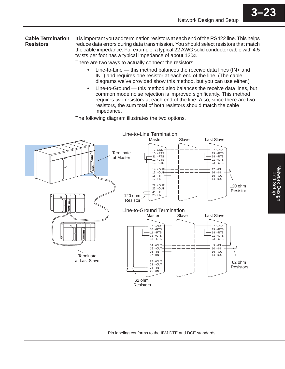It is important you add termination resistors at each end of the RS422 line. This helps reduce data errors during data transmission. You should select resistors that match the cable impedance. For example, a typical 22 AWG solid conductor cable with 4.5 twists per foot has a typical impedance of about  $120<sub>9</sub>$ . **Cable Termination Resistors**

There are two ways to actually connect the resistors.

- Line-to-Line this method balances the receive data lines (IN+ and IN–) and requires one resistor at each end of the line. (The cable diagrams we've provided show this method, but you can use either.)
- $\bullet$  Line-to-Ground — this method also balances the receive data lines, but common mode noise rejection is improved significantly. This method requires two resistors at each end of the line. Also, since there are two resistors, the sum total of both resistors should match the cable impedance.

The following diagram illustrates the two options.



Pin labeling conforms to the IBM DTE and DCE standards.

**3–23**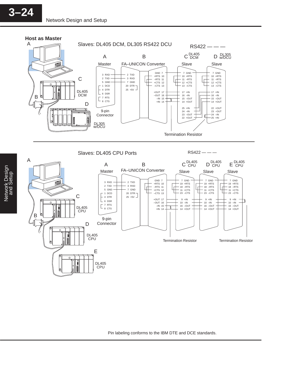

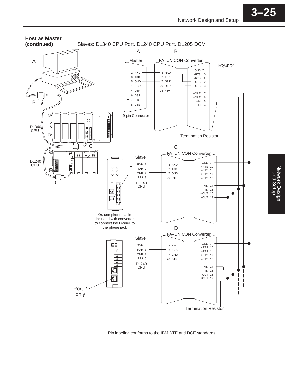Network Design

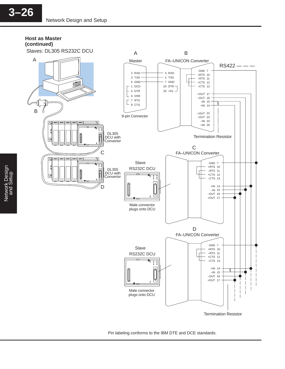#### **Host as Master (continued)**



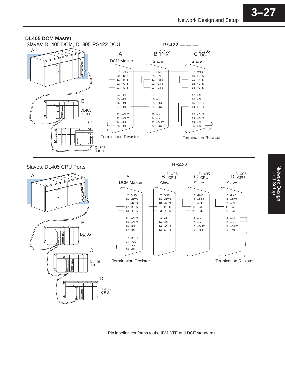### **DL405 DCM Master**





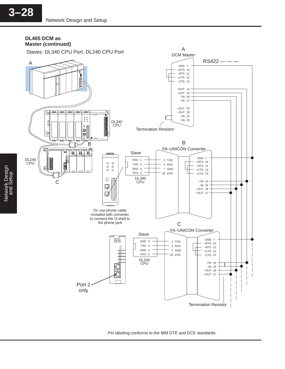#### **DL405 DCM as Master (continued)**



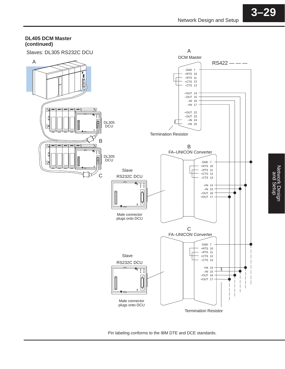#### **DL405 DCM Master (continued)**



Pin labeling conforms to the IBM DTE and DCE standards.

Network Design